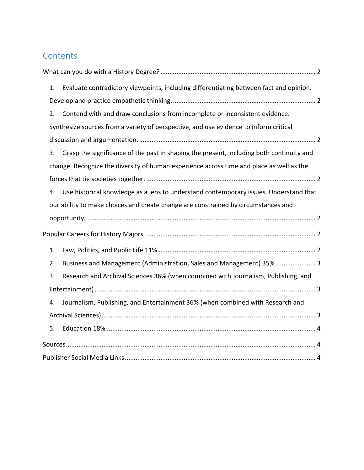## **Contents**

| 1. | Evaluate contradictory viewpoints, including differentiating between fact and opinion.   |
|----|------------------------------------------------------------------------------------------|
|    |                                                                                          |
| 2. | Contend with and draw conclusions from incomplete or inconsistent evidence.              |
|    | Synthesize sources from a variety of perspective, and use evidence to inform critical    |
|    |                                                                                          |
| 3. | Grasp the significance of the past in shaping the present, including both continuity and |
|    | change. Recognize the diversity of human experience across time and place as well as the |
|    |                                                                                          |
| 4. | Use historical knowledge as a lens to understand contemporary issues. Understand that    |
|    | our ability to make choices and create change are constrained by circumstances and       |
|    |                                                                                          |
|    |                                                                                          |
| 1. |                                                                                          |
| 2. | Business and Management (Administration, Sales and Management) 35%  3                    |
| 3. | Research and Archival Sciences 36% (when combined with Journalism, Publishing, and       |
|    |                                                                                          |
| 4. | Journalism, Publishing, and Entertainment 36% (when combined with Research and           |
|    |                                                                                          |
| 5. |                                                                                          |
|    |                                                                                          |
|    |                                                                                          |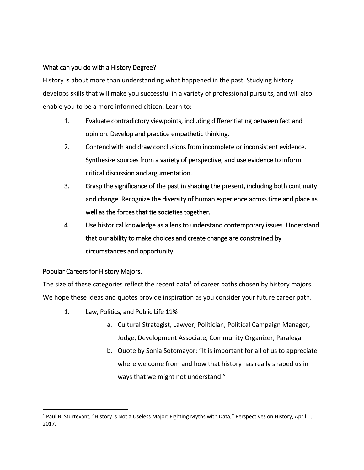## <span id="page-1-0"></span>What can you do with a History Degree?

History is about more than understanding what happened in the past. Studying history develops skills that will make you successful in a variety of professional pursuits, and will also enable you to be a more informed citizen. Learn to:

- <span id="page-1-1"></span>1. Evaluate contradictory viewpoints, including differentiating between fact and opinion. Develop and practice empathetic thinking.
- <span id="page-1-2"></span>2. Contend with and draw conclusions from incomplete or inconsistent evidence. Synthesize sources from a variety of perspective, and use evidence to inform critical discussion and argumentation.
- <span id="page-1-3"></span>3. Grasp the significance of the past in shaping the present, including both continuity and change. Recognize the diversity of human experience across time and place as well as the forces that tie societies together.
- <span id="page-1-4"></span>4. Use historical knowledge as a lens to understand contemporary issues. Understand that our ability to make choices and create change are constrained by circumstances and opportunity.

## <span id="page-1-5"></span>Popular Careers for History Majors.

The size of these categories reflect the recent data<sup>1</sup> of career paths chosen by history majors. We hope these ideas and quotes provide inspiration as you consider your future career path.

- <span id="page-1-6"></span>1. Law, Politics, and Public Life 11%
	- a. Cultural Strategist, Lawyer, Politician, Political Campaign Manager, Judge, Development Associate, Community Organizer, Paralegal
	- b. Quote by Sonia Sotomayor: "It is important for all of us to appreciate where we come from and how that history has really shaped us in ways that we might not understand."

 $\overline{a}$ <sup>1</sup> Paul B. Sturtevant, "History is Not a Useless Major: Fighting Myths with Data," Perspectives on History, April 1, 2017.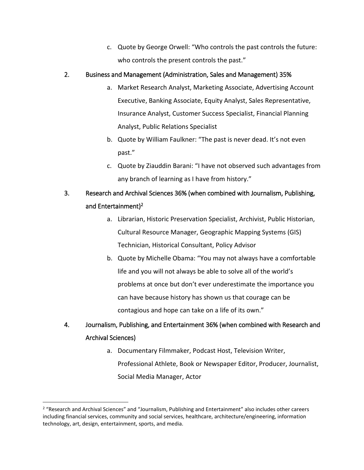c. Quote by George Orwell: "Who controls the past controls the future: who controls the present controls the past."

## <span id="page-2-0"></span>2. Business and Management (Administration, Sales and Management) 35%

- a. Market Research Analyst, Marketing Associate, Advertising Account Executive, Banking Associate, Equity Analyst, Sales Representative, Insurance Analyst, Customer Success Specialist, Financial Planning Analyst, Public Relations Specialist
- b. Quote by William Faulkner: "The past is never dead. It's not even past."
- c. Quote by Ziauddin Barani: "I have not observed such advantages from any branch of learning as I have from history."

# <span id="page-2-1"></span>3. Research and Archival Sciences 36% (when combined with Journalism, Publishing, and Entertainment)<sup>2</sup>

- a. Librarian, Historic Preservation Specialist, Archivist, Public Historian, Cultural Resource Manager, Geographic Mapping Systems (GIS) Technician, Historical Consultant, Policy Advisor
- b. Quote by Michelle Obama: "You may not always have a comfortable life and you will not always be able to solve all of the world's problems at once but don't ever underestimate the importance you can have because history has shown us that courage can be contagious and hope can take on a life of its own."

# <span id="page-2-2"></span>4. Journalism, Publishing, and Entertainment 36% (when combined with Research and Archival Sciences)

a. Documentary Filmmaker, Podcast Host, Television Writer, Professional Athlete, Book or Newspaper Editor, Producer, Journalist, Social Media Manager, Actor

 $\overline{a}$ 

<sup>2</sup> "Research and Archival Sciences" and "Journalism, Publishing and Entertainment" also includes other careers including financial services, community and social services, healthcare, architecture/engineering, information technology, art, design, entertainment, sports, and media.